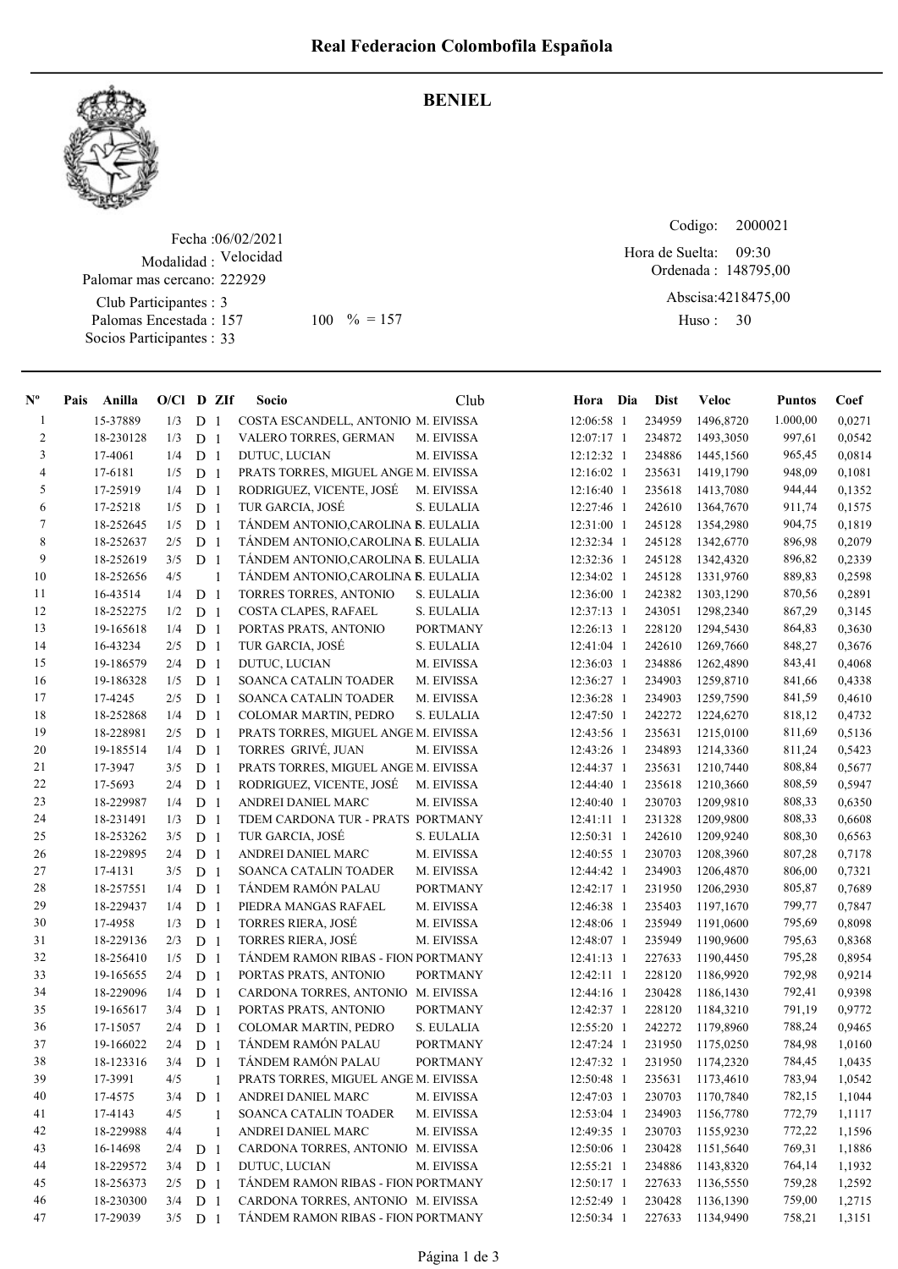

## Fecha : 06/02/2021 Modalidad : Velocidad Club Participantes : 3 Palomas Encestada : 157 Palomar mas cercano: 222929

Socios Participantes : 33

## BENIEL

Codigo: Ordenada : 148795,00 Abscisa: 4218475,00 Huso: 30 Hora de Suelta: 09:30 157 100 % = 157 Huso: 30

| $N^{\circ}$    | Pais | Anilla    | $O/Cl$ D ZIf |                |                | <b>Socio</b>                         | Club            | Hora Dia     | <b>Dist</b> | Veloc            | <b>Puntos</b> | Coef   |
|----------------|------|-----------|--------------|----------------|----------------|--------------------------------------|-----------------|--------------|-------------|------------------|---------------|--------|
| $\mathbf{1}$   |      | 15-37889  | 1/3          | D              | -1             | COSTA ESCANDELL, ANTONIO M. EIVISSA  |                 | 12:06:58 1   | 234959      | 1496,8720        | 1.000,00      | 0,0271 |
| $\overline{c}$ |      | 18-230128 | 1/3          | D              | -1             | VALERO TORRES, GERMAN                | M. EIVISSA      | 12:07:17 1   | 234872      | 1493,3050        | 997,61        | 0.0542 |
| 3              |      | 17-4061   | 1/4          | D <sub>1</sub> |                | DUTUC, LUCIAN                        | M. EIVISSA      | 12:12:32 1   | 234886      | 1445,1560        | 965,45        | 0,0814 |
| 4              |      | 17-6181   | 1/5          | D              | -1             | PRATS TORRES, MIGUEL ANGE M. EIVISSA |                 | $12:16:02$ 1 | 235631      | 1419,1790        | 948,09        | 0,1081 |
| 5              |      | 17-25919  | 1/4          | ${\bf D}$      | -1             | RODRIGUEZ, VICENTE, JOSÉ             | M. EIVISSA      | 12:16:40 1   | 235618      | 1413,7080        | 944,44        | 0,1352 |
| 6              |      | 17-25218  | 1/5          | ${\bf D}$      | -1             | TUR GARCIA, JOSÉ                     | S. EULALIA      | 12:27:46 1   | 242610      | 1364,7670        | 911,74        | 0,1575 |
| 7              |      | 18-252645 | 1/5          | D <sub>1</sub> |                | TÁNDEM ANTONIO, CAROLINA B. EULALIA  |                 | 12:31:00 1   | 245128      | 1354,2980        | 904,75        | 0,1819 |
| $\,8\,$        |      | 18-252637 | 2/5          | D <sub>1</sub> |                | TÁNDEM ANTONIO, CAROLINA B. EULALIA  |                 | 12:32:34 1   | 245128      | 1342,6770        | 896,98        | 0,2079 |
| 9              |      | 18-252619 | 3/5          | D <sub>1</sub> |                | TÁNDEM ANTONIO, CAROLINA B. EULALIA  |                 | 12:32:36 1   | 245128      | 1342,4320        | 896,82        | 0,2339 |
| 10             |      | 18-252656 | 4/5          |                | $\mathbf{1}$   | TANDEM ANTONIO,CAROLINA B. EULALIA   |                 | 12:34:02 1   | 245128      | 1331,9760        | 889,83        | 0,2598 |
| 11             |      | 16-43514  | 1/4          | D              | -1             | TORRES TORRES, ANTONIO               | S. EULALIA      | 12:36:00 1   | 242382      | 1303,1290        | 870,56        | 0,2891 |
| 12             |      | 18-252275 | 1/2          | D              | -1             | COSTA CLAPES, RAFAEL                 | S. EULALIA      | 12:37:13 1   | 243051      | 1298,2340        | 867,29        | 0,3145 |
| 13             |      | 19-165618 | 1/4          | D              | $\mathbf{1}$   | PORTAS PRATS, ANTONIO                | <b>PORTMANY</b> | 12:26:13 1   | 228120      | 1294,5430        | 864,83        | 0,3630 |
| 14             |      | 16-43234  | 2/5          | D              | -1             | TUR GARCIA, JOSÉ                     | S. EULALIA      | 12:41:04 1   | 242610      | 1269,7660        | 848,27        | 0,3676 |
| 15             |      | 19-186579 | 2/4          | D              | -1             | DUTUC, LUCIAN                        | M. EIVISSA      | 12:36:03 1   | 234886      | 1262,4890        | 843,41        | 0,4068 |
| 16             |      | 19-186328 | 1/5          | D              | -1             | SOANCA CATALIN TOADER                | M. EIVISSA      | 12:36:27 1   | 234903      | 1259,8710        | 841,66        | 0,4338 |
| 17             |      | 17-4245   | 2/5          | D              | -1             | SOANCA CATALIN TOADER                | M. EIVISSA      | 12:36:28 1   | 234903      | 1259,7590        | 841,59        | 0,4610 |
| 18             |      | 18-252868 | 1/4          | ${\bf D}$      | -1             | COLOMAR MARTIN, PEDRO                | S. EULALIA      | 12:47:50 1   | 242272      | 1224,6270        | 818,12        | 0,4732 |
| 19             |      | 18-228981 | 2/5          | D              | -1             | PRATS TORRES, MIGUEL ANGE M. EIVISSA |                 | 12:43:56 1   | 235631      | 1215,0100        | 811,69        | 0,5136 |
| 20             |      | 19-185514 | 1/4          | D <sub>1</sub> |                | TORRES GRIVÉ, JUAN                   | M. EIVISSA      | 12:43:26 1   | 234893      | 1214,3360        | 811,24        | 0,5423 |
| 21             |      | 17-3947   | 3/5          | D <sub>1</sub> |                | PRATS TORRES, MIGUEL ANGE M. EIVISSA |                 | 12:44:37 1   | 235631      | 1210,7440        | 808,84        | 0,5677 |
| 22             |      | 17-5693   | 2/4          | D <sub>1</sub> |                | RODRIGUEZ, VICENTE, JOSÉ             | M. EIVISSA      | 12:44:40 1   | 235618      | 1210,3660        | 808,59        | 0,5947 |
| $23\,$         |      | 18-229987 | 1/4          | D              | - 1            | ANDREI DANIEL MARC                   | M. EIVISSA      | 12:40:40 1   | 230703      | 1209,9810        | 808,33        | 0,6350 |
| 24             |      | 18-231491 | 1/3          | D              | -1             | TDEM CARDONA TUR - PRATS PORTMANY    |                 | 12:41:11 1   | 231328      | 1209,9800        | 808,33        | 0,6608 |
| 25             |      | 18-253262 | 3/5          | D <sub>1</sub> |                | TUR GARCIA, JOSÉ                     | S. EULALIA      | 12:50:31 1   | 242610      | 1209,9240        | 808,30        | 0,6563 |
| 26             |      | 18-229895 | 2/4          | D              | -1             | ANDREI DANIEL MARC                   | M. EIVISSA      | 12:40:55 1   | 230703      | 1208,3960        | 807,28        | 0,7178 |
| 27             |      | 17-4131   | 3/5          | D              | -1             | SOANCA CATALIN TOADER                | M. EIVISSA      | 12:44:42 1   | 234903      | 1206,4870        | 806,00        | 0,7321 |
| 28             |      | 18-257551 | 1/4          | D <sub>1</sub> |                | TÁNDEM RAMÓN PALAU                   | <b>PORTMANY</b> | $12:42:17$ 1 | 231950      | 1206,2930        | 805,87        | 0,7689 |
| 29             |      | 18-229437 | 1/4          | D              | -1             | PIEDRA MANGAS RAFAEL                 | M. EIVISSA      | 12:46:38 1   | 235403      | 1197,1670        | 799,77        | 0,7847 |
| 30             |      | 17-4958   | 1/3          | ${\bf D}$      | -1             | TORRES RIERA, JOSÉ                   | M. EIVISSA      | 12:48:06 1   | 235949      | 1191,0600        | 795,69        | 0,8098 |
| 31             |      | 18-229136 | 2/3          | D              | $\overline{1}$ | <b>TORRES RIERA, JOSÉ</b>            | M. EIVISSA      | 12:48:07 1   | 235949      | 1190,9600        | 795,63        | 0,8368 |
| 32             |      | 18-256410 | 1/5          | D <sub>1</sub> |                | TÁNDEM RAMON RIBAS - FION PORTMANY   |                 | 12:41:13 1   | 227633      | 1190,4450        | 795,28        | 0,8954 |
| 33             |      | 19-165655 | 2/4          | D <sub>1</sub> |                | PORTAS PRATS, ANTONIO                | <b>PORTMANY</b> | 12:42:11 1   | 228120      | 1186,9920        | 792,98        | 0,9214 |
| 34             |      | 18-229096 | 1/4          | D <sub>1</sub> |                | CARDONA TORRES, ANTONIO M. EIVISSA   |                 | 12:44:16 1   | 230428      | 1186,1430        | 792,41        | 0,9398 |
| 35             |      | 19-165617 | 3/4          | D <sub>1</sub> |                | PORTAS PRATS, ANTONIO                | <b>PORTMANY</b> | 12:42:37 1   | 228120      | 1184,3210        | 791,19        | 0,9772 |
| 36             |      | 17-15057  | 2/4          | D              | -1             | COLOMAR MARTIN, PEDRO                | S. EULALIA      | 12:55:20 1   | 242272      | 1179,8960        | 788,24        | 0,9465 |
| 37             |      | 19-166022 | 2/4          | D <sub>1</sub> |                | TÁNDEM RAMÓN PALAU                   | <b>PORTMANY</b> | 12:47:24 1   | 231950      | 1175,0250        | 784,98        | 1,0160 |
| 38             |      | 18-123316 | $3/4$ D 1    |                |                | TÁNDEM RAMÓN PALAU                   | <b>PORTMANY</b> | 12:47:32 1   |             | 231950 1174,2320 | 784,45        | 1,0435 |
| 39             |      | 17-3991   | 4/5          |                | 1              | PRATS TORRES, MIGUEL ANGE M. EIVISSA |                 | 12:50:48 1   | 235631      | 1173,4610        | 783,94        | 1,0542 |
| 40             |      | 17-4575   | 3/4          | D              | $\overline{1}$ | ANDREI DANIEL MARC                   | M. EIVISSA      | 12:47:03 1   | 230703      | 1170,7840        | 782,15        | 1,1044 |
| 41             |      | 17-4143   | 4/5          |                | 1              | SOANCA CATALIN TOADER                | M. EIVISSA      | 12:53:04 1   | 234903      | 1156,7780        | 772,79        | 1,1117 |
| 42             |      | 18-229988 | 4/4          |                | 1              | ANDREI DANIEL MARC                   | M. EIVISSA      | 12:49:35 1   | 230703      | 1155,9230        | 772,22        | 1,1596 |
| 43             |      | 16-14698  | 2/4          | D <sub>1</sub> |                | CARDONA TORRES, ANTONIO M. EIVISSA   |                 | 12:50:06 1   | 230428      | 1151,5640        | 769,31        | 1,1886 |
| 44             |      | 18-229572 | 3/4          | D <sub>1</sub> |                | DUTUC, LUCIAN                        | M. EIVISSA      | 12:55:21 1   | 234886      | 1143,8320        | 764,14        | 1,1932 |
| 45             |      | 18-256373 | 2/5          | D <sub>1</sub> |                | TÁNDEM RAMON RIBAS - FION PORTMANY   |                 | 12:50:17 1   | 227633      | 1136,5550        | 759,28        | 1,2592 |
| 46             |      | 18-230300 | 3/4          | D <sub>1</sub> |                | CARDONA TORRES, ANTONIO M. EIVISSA   |                 | 12:52:49 1   | 230428      | 1136,1390        | 759,00        | 1,2715 |
| 47             |      | 17-29039  | 3/5          | D <sub>1</sub> |                | TÁNDEM RAMON RIBAS - FION PORTMANY   |                 | 12:50:34 1   | 227633      | 1134,9490        | 758,21        | 1,3151 |
|                |      |           |              |                |                |                                      |                 |              |             |                  |               |        |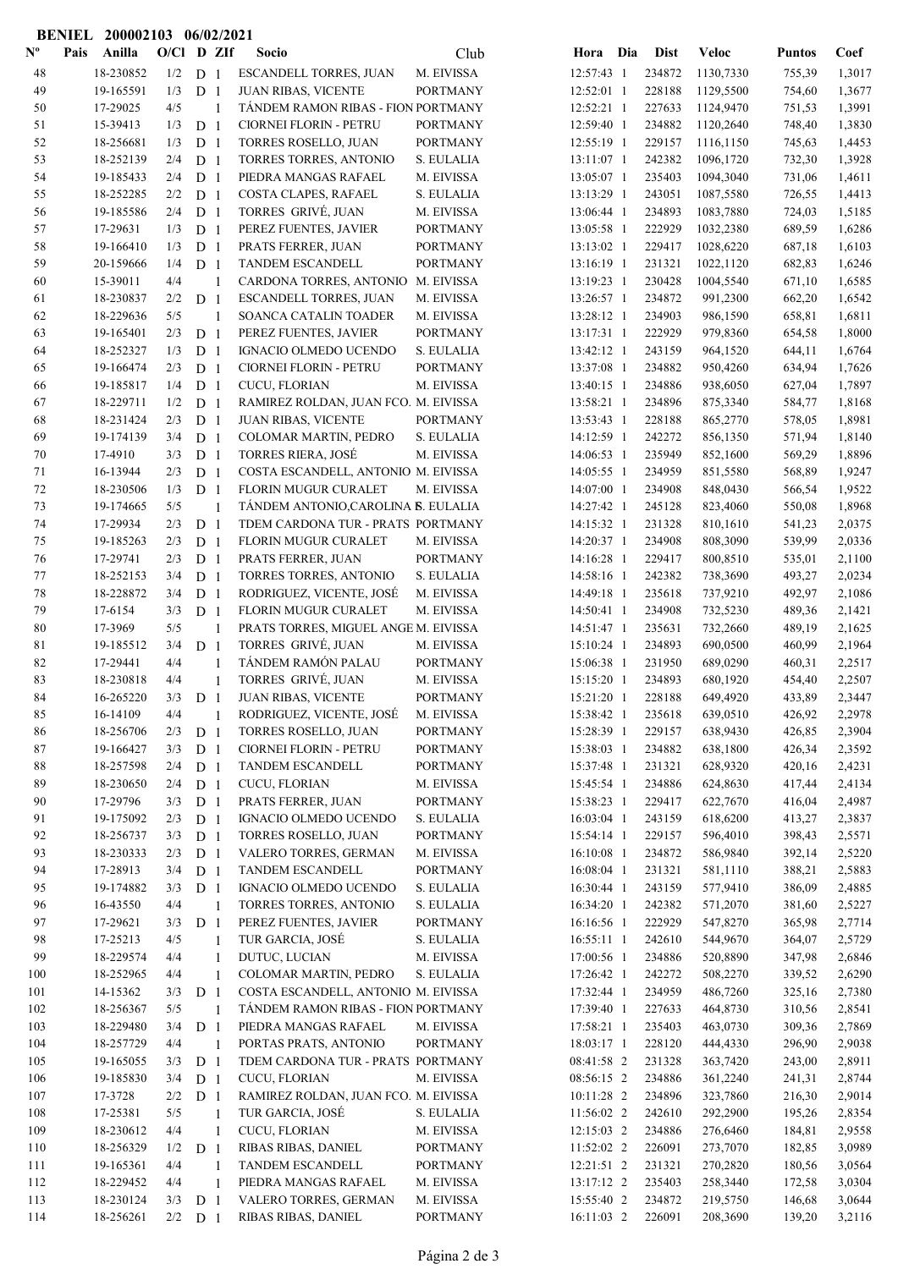|                           | <b>BENIEL</b> | 200002103              |            |                                  | 06/02/2021        |                                                       |                          |                            |                  |                      |                  |                  |
|---------------------------|---------------|------------------------|------------|----------------------------------|-------------------|-------------------------------------------------------|--------------------------|----------------------------|------------------|----------------------|------------------|------------------|
| $\mathbf{N}^{\mathbf{o}}$ | Pais          | Anilla                 | O/Cl D ZIf |                                  |                   | Socio                                                 | Club                     | Hora Dia                   | <b>Dist</b>      | <b>Veloc</b>         | <b>Puntos</b>    | Coef             |
| 48                        |               | 18-230852              | 1/2        | D <sub>1</sub>                   |                   | <b>ESCANDELL TORRES, JUAN</b>                         | M. EIVISSA               | 12:57:43 1                 | 234872           | 1130,7330            | 755,39           | 1,3017           |
| 49                        |               | 19-165591              | 1/3        | D <sub>1</sub>                   |                   | <b>JUAN RIBAS, VICENTE</b>                            | <b>PORTMANY</b>          | 12:52:01 1                 | 228188           | 1129,5500            | 754,60           | 1,3677           |
| 50                        |               | 17-29025               | 4/5        |                                  | $\mathbf{1}$      | TÁNDEM RAMON RIBAS - FION PORTMANY                    |                          | 12:52:21 1                 | 227633           | 1124,9470            | 751,53           | 1,3991           |
| 51                        |               | 15-39413               | 1/3        | D <sub>1</sub>                   |                   | CIORNEI FLORIN - PETRU                                | <b>PORTMANY</b>          | 12:59:40 1                 | 234882           | 1120,2640            | 748,40           | 1,3830           |
| 52                        |               | 18-256681              | 1/3        | D <sub>1</sub>                   |                   | <b>TORRES ROSELLO, JUAN</b>                           | <b>PORTMANY</b>          | 12:55:19 1                 | 229157           | 1116,1150            | 745,63           | 1,4453           |
| 53                        |               | 18-252139              | 2/4        | D <sub>1</sub>                   |                   | TORRES TORRES, ANTONIO                                | S. EULALIA               | 13:11:07 1                 | 242382           | 1096,1720            | 732,30           | 1,3928           |
| 54                        |               | 19-185433              | 2/4        | D <sub>1</sub>                   |                   | PIEDRA MANGAS RAFAEL                                  | M. EIVISSA               | 13:05:07 1                 | 235403           | 1094,3040            | 731,06           | 1,4611           |
| 55                        |               | 18-252285              | 2/2        | D <sub>1</sub>                   |                   | COSTA CLAPES, RAFAEL                                  | S. EULALIA               | 13:13:29 1                 | 243051           | 1087,5580            | 726,55           | 1,4413           |
| 56                        |               | 19-185586              | 2/4        | D <sub>1</sub>                   |                   | TORRES GRIVÉ, JUAN                                    | M. EIVISSA               | 13:06:44 1                 | 234893           | 1083,7880            | 724,03           | 1,5185           |
| 57                        |               | 17-29631               | 1/3        | D <sub>1</sub>                   |                   | PEREZ FUENTES, JAVIER                                 | <b>PORTMANY</b>          | 13:05:58 1                 | 222929           | 1032,2380            | 689,59           | 1,6286           |
| 58                        |               | 19-166410              | 1/3        | D <sub>1</sub>                   |                   | PRATS FERRER, JUAN                                    | <b>PORTMANY</b>          | 13:13:02 1                 | 229417           | 1028,6220            | 687,18           | 1,6103           |
| 59                        |               | 20-159666              | 1/4        | D <sub>1</sub>                   |                   | TANDEM ESCANDELL                                      | <b>PORTMANY</b>          | 13:16:19 1                 | 231321           | 1022,1120            | 682,83           | 1,6246           |
| 60                        |               | 15-39011               | 4/4        |                                  | 1                 | CARDONA TORRES, ANTONIO                               | M. EIVISSA               | 13:19:23 1                 | 230428           | 1004,5540            | 671,10           | 1,6585           |
| 61                        |               | 18-230837              | 2/2        | D <sub>1</sub>                   |                   | ESCANDELL TORRES, JUAN                                | M. EIVISSA               | 13:26:57 1                 | 234872           | 991,2300             | 662,20           | 1,6542           |
| 62                        |               | 18-229636              | 5/5        |                                  | $\mathbf{1}$      | SOANCA CATALIN TOADER                                 | M. EIVISSA               | 13:28:12 1                 | 234903           | 986,1590             | 658,81           | 1,6811           |
| 63                        |               | 19-165401              | 2/3        | D <sub>1</sub>                   |                   | PEREZ FUENTES, JAVIER                                 | <b>PORTMANY</b>          | $13:17:31$ 1               | 222929           | 979,8360             | 654,58           | 1,8000           |
| 64                        |               | 18-252327              | 1/3        | D <sub>1</sub>                   |                   | IGNACIO OLMEDO UCENDO                                 | S. EULALIA               | 13:42:12 1                 | 243159           | 964,1520             | 644,11           | 1,6764           |
| 65                        |               | 19-166474<br>19-185817 | 2/3<br>1/4 | D <sub>1</sub><br>D <sub>1</sub> |                   | <b>CIORNEI FLORIN - PETRU</b>                         | <b>PORTMANY</b>          | 13:37:08 1<br>13:40:15 1   | 234882<br>234886 | 950,4260             | 634,94           | 1,7626<br>1,7897 |
| 66                        |               | 18-229711              | 1/2        |                                  |                   | CUCU, FLORIAN<br>RAMIREZ ROLDAN, JUAN FCO. M. EIVISSA | M. EIVISSA               | 13:58:21 1                 | 234896           | 938,6050             | 627,04           | 1,8168           |
| 67<br>68                  |               | 18-231424              | 2/3        | D <sub>1</sub><br>D <sub>1</sub> |                   | <b>JUAN RIBAS, VICENTE</b>                            | <b>PORTMANY</b>          | 13:53:43 1                 | 228188           | 875,3340<br>865,2770 | 584,77<br>578,05 | 1,8981           |
| 69                        |               | 19-174139              | 3/4        | D <sub>1</sub>                   |                   | COLOMAR MARTIN, PEDRO                                 | S. EULALIA               | 14:12:59 1                 | 242272           | 856,1350             | 571,94           | 1,8140           |
| 70                        |               | 17-4910                | 3/3        | D <sub>1</sub>                   |                   | <b>TORRES RIERA, JOSÉ</b>                             | M. EIVISSA               | 14:06:53 1                 | 235949           | 852,1600             | 569,29           | 1,8896           |
| 71                        |               | 16-13944               | 2/3        | D <sub>1</sub>                   |                   | COSTA ESCANDELL, ANTONIO M. EIVISSA                   |                          | 14:05:55 1                 | 234959           | 851,5580             | 568,89           | 1,9247           |
| 72                        |               | 18-230506              | 1/3        | D <sub>1</sub>                   |                   | <b>FLORIN MUGUR CURALET</b>                           | M. EIVISSA               | 14:07:00 1                 | 234908           | 848,0430             | 566,54           | 1,9522           |
| 73                        |               | 19-174665              | 5/5        |                                  | $\mathbf{1}$      | TÁNDEM ANTONIO, CAROLINA B. EULALIA                   |                          | 14:27:42 1                 | 245128           | 823,4060             | 550,08           | 1,8968           |
| 74                        |               | 17-29934               | 2/3        | D <sub>1</sub>                   |                   | TDEM CARDONA TUR - PRATS PORTMANY                     |                          | 14:15:32 1                 | 231328           | 810,1610             | 541,23           | 2,0375           |
| 75                        |               | 19-185263              | 2/3        | D <sub>1</sub>                   |                   | FLORIN MUGUR CURALET                                  | M. EIVISSA               | 14:20:37 1                 | 234908           | 808,3090             | 539,99           | 2,0336           |
| 76                        |               | 17-29741               | 2/3        | D <sub>1</sub>                   |                   | PRATS FERRER, JUAN                                    | <b>PORTMANY</b>          | 14:16:28 1                 | 229417           | 800,8510             | 535,01           | 2,1100           |
| 77                        |               | 18-252153              | 3/4        | D <sub>1</sub>                   |                   | TORRES TORRES, ANTONIO                                | S. EULALIA               | 14:58:16 1                 | 242382           | 738,3690             | 493,27           | 2,0234           |
| 78                        |               | 18-228872              | 3/4        | D <sub>1</sub>                   |                   | RODRIGUEZ, VICENTE, JOSÉ                              | M. EIVISSA               | 14:49:18 1                 | 235618           | 737,9210             | 492,97           | 2,1086           |
| 79                        |               | 17-6154                | 3/3        | D <sub>1</sub>                   |                   | FLORIN MUGUR CURALET                                  | M. EIVISSA               | 14:50:41 1                 | 234908           | 732,5230             | 489,36           | 2,1421           |
| 80                        |               | 17-3969                | 5/5        |                                  | 1                 | PRATS TORRES, MIGUEL ANGE M. EIVISSA                  |                          | 14:51:47 1                 | 235631           | 732,2660             | 489,19           | 2,1625           |
| 81                        |               | 19-185512              | 3/4        | D <sub>1</sub>                   |                   | TORRES GRIVÉ, JUAN                                    | M. EIVISSA               | 15:10:24 1                 | 234893           | 690,0500             | 460,99           | 2,1964           |
| 82                        |               | 17-29441               | 4/4        |                                  | 1                 | TÁNDEM RAMÓN PALAU                                    | <b>PORTMANY</b>          | 15:06:38 1                 | 231950           | 689,0290             | 460,31           | 2,2517           |
| 83                        |               | 18-230818              | 4/4        |                                  | 1                 | TORRES GRIVÉ, JUAN                                    | M. EIVISSA               | 15:15:20 1                 | 234893           | 680,1920             | 454,40           | 2,2507           |
| 84                        |               | 16-265220              | 3/3        | D <sub>1</sub>                   |                   | JUAN RIBAS, VICENTE                                   | <b>PORTMANY</b>          | 15:21:20 1                 | 228188           | 649,4920             | 433,89           | 2,3447           |
| 85                        |               | 16-14109               | 4/4        |                                  | 1                 | RODRIGUEZ, VICENTE, JOSÉ                              | M. EIVISSA               | 15:38:42 1                 | 235618           | 639,0510             | 426,92           | 2,2978           |
| 86                        |               | 18-256706              | 2/3        | D <sub>1</sub>                   |                   | TORRES ROSELLO, JUAN                                  | <b>PORTMANY</b>          | 15:28:39 1                 | 229157           | 638,9430             | 426,85           | 2,3904           |
| 87                        |               | 19-166427              | 3/3        | D <sub>1</sub>                   |                   | CIORNEI FLORIN - PETRU                                | <b>PORTMANY</b>          | 15:38:03 1                 | 234882           | 638,1800             | 426,34           | 2,3592           |
| 88                        |               | 18-257598              | 2/4        | D <sub>1</sub>                   |                   | TANDEM ESCANDELL                                      | <b>PORTMANY</b>          | 15:37:48 1                 | 231321           | 628,9320             | 420,16           | 2,4231           |
| 89                        |               | 18-230650              | 2/4        | D <sub>1</sub>                   |                   | CUCU, FLORIAN                                         | M. EIVISSA               | 15:45:54 1                 | 234886           | 624,8630             | 417,44           | 2,4134           |
| 90                        |               | 17-29796               | 3/3        | D <sub>1</sub>                   |                   | PRATS FERRER, JUAN                                    | <b>PORTMANY</b>          | 15:38:23 1                 | 229417           | 622,7670             | 416,04           | 2,4987           |
| 91                        |               | 19-175092              | 2/3        | D <sub>1</sub>                   |                   | IGNACIO OLMEDO UCENDO                                 | S. EULALIA               | 16:03:04 1                 | 243159           | 618,6200             | 413,27           | 2,3837           |
| 92                        |               | 18-256737              | 3/3        | D <sub>1</sub>                   |                   | TORRES ROSELLO, JUAN                                  | <b>PORTMANY</b>          | 15:54:14 1                 | 229157           | 596,4010             | 398,43           | 2,5571           |
| 93                        |               | 18-230333              | 2/3        | D <sub>1</sub>                   |                   | VALERO TORRES, GERMAN                                 | M. EIVISSA               | 16:10:08 1                 | 234872           | 586,9840             | 392,14           | 2,5220           |
| 94                        |               | 17-28913               | 3/4        | D <sub>1</sub>                   |                   | TANDEM ESCANDELL                                      | <b>PORTMANY</b>          | 16:08:04 1                 | 231321           | 581,1110             | 388,21           | 2,5883           |
| 95                        |               | 19-174882              | 3/3        | D <sub>1</sub>                   |                   | IGNACIO OLMEDO UCENDO                                 | S. EULALIA               | 16:30:44 1                 | 243159           | 577,9410             | 386,09           | 2,4885           |
| 96                        |               | 16-43550               | 4/4        |                                  | 1                 | TORRES TORRES, ANTONIO                                | S. EULALIA               | 16:34:20 1                 | 242382           | 571,2070             | 381,60           | 2,5227           |
| 97                        |               | 17-29621               | 3/3        | D <sub>1</sub>                   |                   | PEREZ FUENTES, JAVIER                                 | <b>PORTMANY</b>          | 16:16:56 1                 | 222929           | 547,8270             | 365,98           | 2,7714           |
| 98<br>99                  |               | 17-25213<br>18-229574  | 4/5<br>4/4 |                                  | 1                 | TUR GARCIA, JOSÉ<br>DUTUC, LUCIAN                     | S. EULALIA<br>M. EIVISSA | $16:55:11$ 1<br>17:00:56 1 | 242610<br>234886 | 544,9670<br>520,8890 | 364,07<br>347,98 | 2,5729<br>2,6846 |
| 100                       |               | 18-252965              | 4/4        |                                  | 1<br>$\mathbf{1}$ | COLOMAR MARTIN, PEDRO                                 | S. EULALIA               | 17:26:42 1                 | 242272           | 508,2270             | 339,52           | 2,6290           |
| 101                       |               | 14-15362               | 3/3        | D <sub>1</sub>                   |                   | COSTA ESCANDELL, ANTONIO M. EIVISSA                   |                          | 17:32:44 1                 | 234959           | 486,7260             | 325,16           | 2,7380           |
| 102                       |               | 18-256367              | 5/5        |                                  | 1                 | TÁNDEM RAMON RIBAS - FION PORTMANY                    |                          | 17:39:40 1                 | 227633           | 464,8730             | 310,56           | 2,8541           |
| 103                       |               | 18-229480              | 3/4        | D <sub>1</sub>                   |                   | PIEDRA MANGAS RAFAEL                                  | M. EIVISSA               | 17:58:21 1                 | 235403           | 463,0730             | 309,36           | 2,7869           |
| 104                       |               | 18-257729              | 4/4        |                                  | 1                 | PORTAS PRATS, ANTONIO                                 | <b>PORTMANY</b>          | 18:03:17 1                 | 228120           | 444,4330             | 296,90           | 2,9038           |
| 105                       |               | 19-165055              | 3/3        | D <sub>1</sub>                   |                   | TDEM CARDONA TUR - PRATS PORTMANY                     |                          | 08:41:58 2                 | 231328           | 363,7420             | 243,00           | 2,8911           |
| 106                       |               | 19-185830              | 3/4        | D <sub>1</sub>                   |                   | CUCU, FLORIAN                                         | M. EIVISSA               | 08:56:15 2                 | 234886           | 361,2240             | 241,31           | 2,8744           |
| 107                       |               | 17-3728                | 2/2        | D <sub>1</sub>                   |                   | RAMIREZ ROLDAN, JUAN FCO. M. EIVISSA                  |                          | 10:11:28 2                 | 234896           | 323,7860             | 216,30           | 2,9014           |
| 108                       |               | 17-25381               | 5/5        |                                  | 1                 | TUR GARCIA, JOSÉ                                      | S. EULALIA               | 11:56:02 2                 | 242610           | 292,2900             | 195,26           | 2,8354           |
| 109                       |               | 18-230612              | 4/4        |                                  | 1                 | CUCU, FLORIAN                                         | M. EIVISSA               | 12:15:03 2                 | 234886           | 276,6460             | 184,81           | 2,9558           |
| 110                       |               | 18-256329              | 1/2        | D <sub>1</sub>                   |                   | RIBAS RIBAS, DANIEL                                   | PORTMANY                 | 11:52:02 2                 | 226091           | 273,7070             | 182,85           | 3,0989           |
| 111                       |               | 19-165361              | 4/4        |                                  | 1                 | TANDEM ESCANDELL                                      | PORTMANY                 | 12:21:51 2                 | 231321           | 270,2820             | 180,56           | 3,0564           |
| 112                       |               | 18-229452              | 4/4        |                                  | 1                 | PIEDRA MANGAS RAFAEL                                  | M. EIVISSA               | 13:17:12 2                 | 235403           | 258,3440             | 172,58           | 3,0304           |
| 113                       |               | 18-230124              | 3/3        | D <sub>1</sub>                   |                   | VALERO TORRES, GERMAN                                 | M. EIVISSA               | 15:55:40 2                 | 234872           | 219,5750             | 146,68           | 3,0644           |
| 114                       |               | 18-256261              | $2/2$ D 1  |                                  |                   | RIBAS RIBAS, DANIEL                                   | PORTMANY                 | 16:11:03 2                 | 226091           | 208,3690             | 139,20           | 3,2116           |
|                           |               |                        |            |                                  |                   |                                                       |                          |                            |                  |                      |                  |                  |